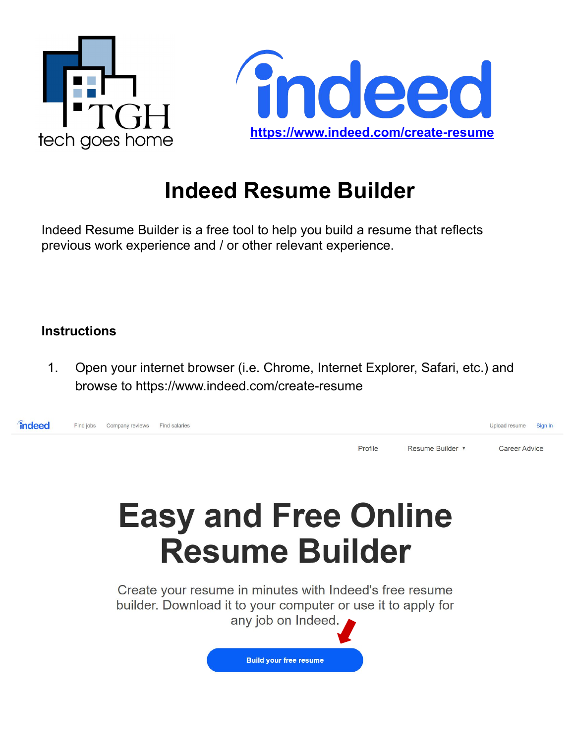



## **Indeed Resume Builder**

Indeed Resume Builder is a free tool to help you build a resume that reflects previous work experience and / or other relevant experience.

## **Instructions**

1. Open your internet browser (i.e. Chrome, Internet Explorer, Safari, etc.) and browse to https://www.indeed.com/create-resume



# **Easy and Free Online Resume Builder**

Create your resume in minutes with Indeed's free resume builder. Download it to your computer or use it to apply for any job on Indeed.

**Build your free resume**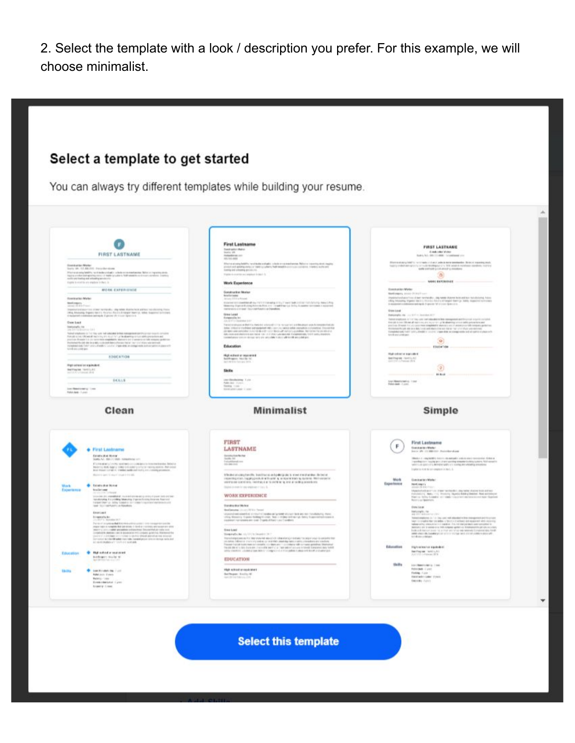2. Select the template with a look / description you prefer. For this example, we will choose minimalist.

### Select a template to get started

You can always try different templates while building your resume.



**Select this template**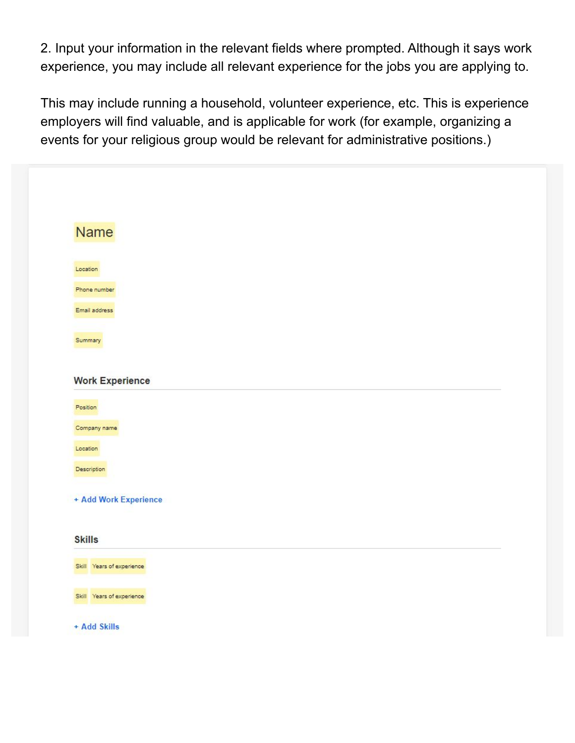2. Input your information in the relevant fields where prompted. Although it says work experience, you may include all relevant experience for the jobs you are applying to.

This may include running a household, volunteer experience, etc. This is experience employers will find valuable, and is applicable for work (for example, organizing a events for your religious group would be relevant for administrative positions.)

| Name                                   |  |  |
|----------------------------------------|--|--|
| Location                               |  |  |
| Phone number                           |  |  |
| Email address                          |  |  |
| Summary                                |  |  |
|                                        |  |  |
| <b>Work Experience</b>                 |  |  |
|                                        |  |  |
| Position                               |  |  |
| Company name                           |  |  |
| Location                               |  |  |
| Description                            |  |  |
|                                        |  |  |
|                                        |  |  |
| + Add Work Experience<br><b>Skills</b> |  |  |
| Skill Years of experience              |  |  |
| Skill Years of experience              |  |  |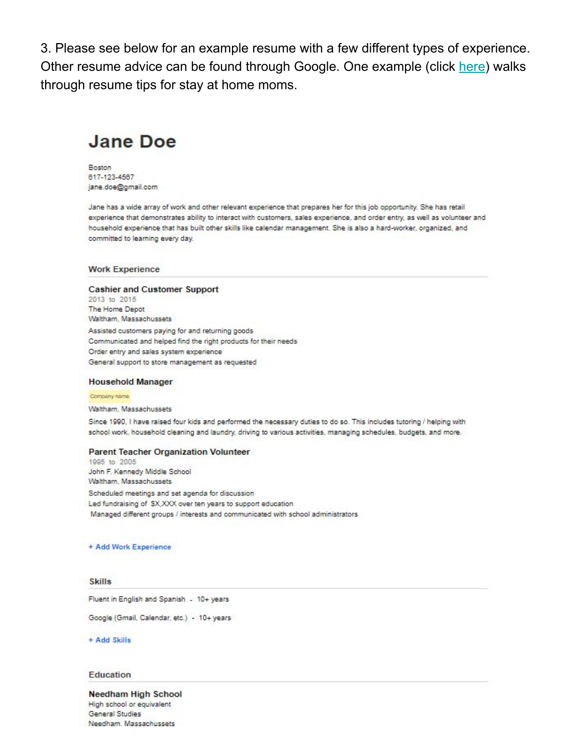3. Please see below for an example resume with a few different types of experience. Other resume advice can be found through Google. One example (click here) walks through resume tips for stay at home moms.

## **Jane Doe**

Boston 617-123-4567 jane.doe@gmail.com

Jane has a wide array of work and other relevant experience that prepares her for this job opportunity. She has retail experience that demonstrates ability to interact with customers, sales experience, and order entry, as well as volunteer and household experience that has built other skills like calendar management. She is also a hard-worker, organized, and committed to learning every day.

#### **Work Experience**

#### **Cashier and Customer Support**

2013 to 2015 The Home Depot Waitham, Massachussets Assisted customers paying for and returning goods Communicated and helped find the right products for their needs Order entry and sales system experience General support to store management as requested

#### **Household Manager**

#### Company name

Waltham, Massachussets

Since 1990, I have raised four kids and performed the necessary duties to do so. This includes tutoring / helping with school work, household cleaning and laundry, driving to various activities, managing schedules, budgets, and more.

#### **Parent Teacher Organization Volunteer**

1995 to 2005 John F. Kennedy Middle School Waltham, Massachussets Scheduled meetings and set agenda for discussion Led fundraising of \$X,XXX over ten years to support education Managed different groups / interests and communicated with school administrators

#### + Add Work Experience

#### **Skills**

Fluent in English and Spanish - 10+ years

Google (Gmail, Calendar, etc.) - 10+ years

+ Add Skills

#### Education

#### Needham High School High school or equivalent General Studies Needham. Massachussets